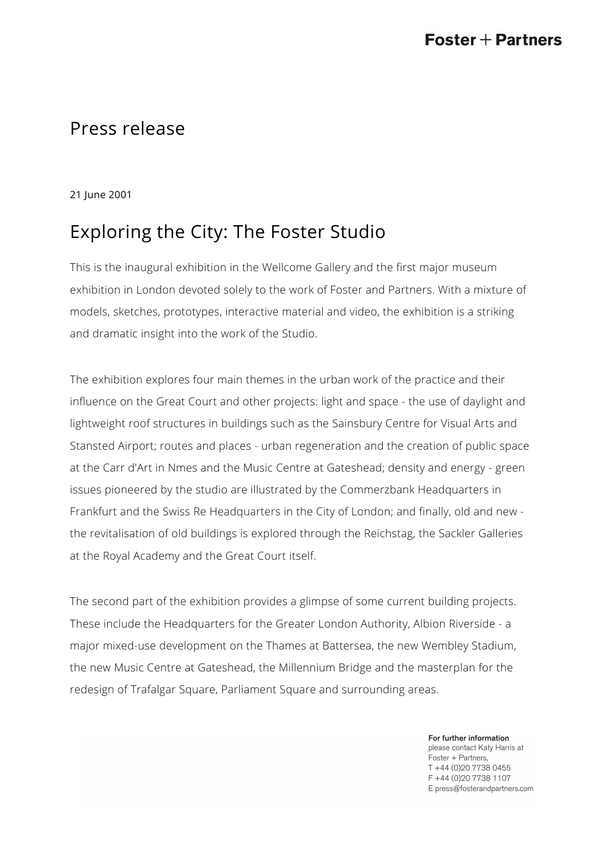## Press release

21 June 2001

## Exploring the City: The Foster Studio

This is the inaugural exhibition in the Wellcome Gallery and the first major museum exhibition in London devoted solely to the work of Foster and Partners. With a mixture of models, sketches, prototypes, interactive material and video, the exhibition is a striking and dramatic insight into the work of the Studio.

The exhibition explores four main themes in the urban work of the practice and their influence on the Great Court and other projects: light and space - the use of daylight and lightweight roof structures in buildings such as the Sainsbury Centre for Visual Arts and Stansted Airport; routes and places - urban regeneration and the creation of public space at the Carr d'Art in Nmes and the Music Centre at Gateshead; density and energy - green issues pioneered by the studio are illustrated by the Commerzbank Headquarters in Frankfurt and the Swiss Re Headquarters in the City of London; and finally, old and new the revitalisation of old buildings is explored through the Reichstag, the Sackler Galleries at the Royal Academy and the Great Court itself.

The second part of the exhibition provides a glimpse of some current building projects. These include the Headquarters for the Greater London Authority, Albion Riverside - a major mixed-use development on the Thames at Battersea, the new Wembley Stadium, the new Music Centre at Gateshead, the Millennium Bridge and the masterplan for the redesign of Trafalgar Square, Parliament Square and surrounding areas.

> For further information please contact Katy Harris at Foster + Partners, T +44 (0)20 7738 0455 F +44 (0) 20 7738 1107 E press@fosterandpartners.com